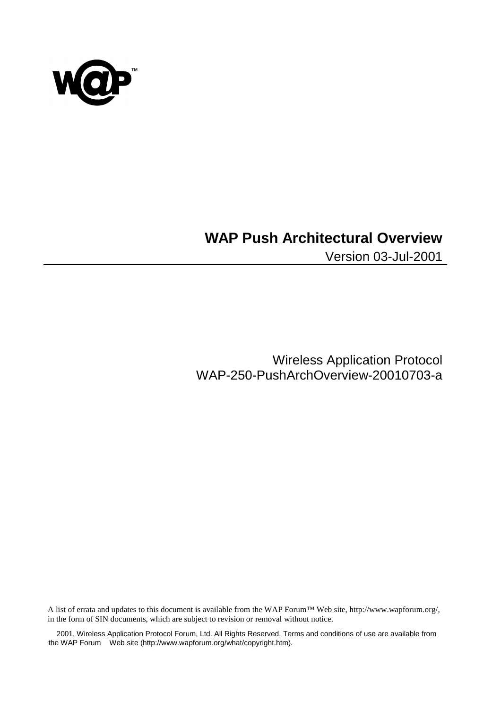

# **WAP Push Architectural Overview**

Version 03-Jul-2001

Wireless Application Protocol WAP-250-PushArchOverview-20010703-a

A list of errata and updates to this document is available from the WAP Forum™ Web site, http://www.wapforum.org/, in the form of SIN documents, which are subject to revision or removal without notice.

 2001, Wireless Application Protocol Forum, Ltd. All Rights Reserved. Terms and conditions of use are available from the WAP Forum™ Web site (http://www.wapforum.org/what/copyright.htm).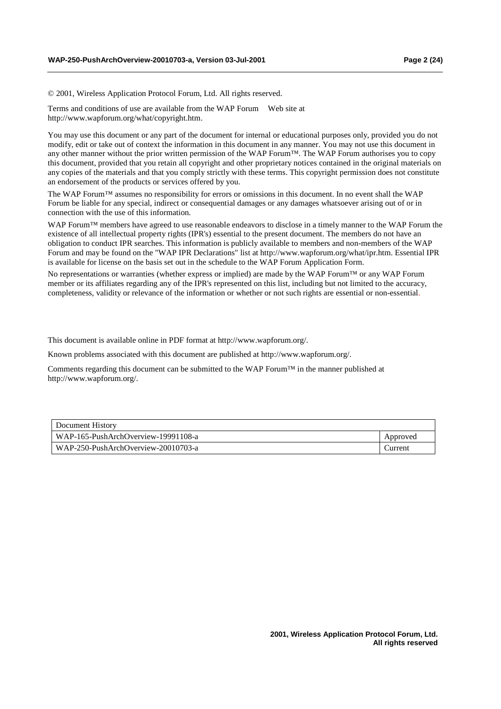© 2001, Wireless Application Protocol Forum, Ltd. All rights reserved.

Terms and conditions of use are available from the WAP Forum™ Web site at http://www.wapforum.org/what/copyright.htm.

You may use this document or any part of the document for internal or educational purposes only, provided you do not modify, edit or take out of context the information in this document in any manner. You may not use this document in any other manner without the prior written permission of the WAP Forum™. The WAP Forum authorises you to copy this document, provided that you retain all copyright and other proprietary notices contained in the original materials on any copies of the materials and that you comply strictly with these terms. This copyright permission does not constitute an endorsement of the products or services offered by you.

The WAP Forum™ assumes no responsibility for errors or omissions in this document. In no event shall the WAP Forum be liable for any special, indirect or consequential damages or any damages whatsoever arising out of or in connection with the use of this information*.*

WAP Forum™ members have agreed to use reasonable endeavors to disclose in a timely manner to the WAP Forum the existence of all intellectual property rights (IPR's) essential to the present document. The members do not have an obligation to conduct IPR searches. This information is publicly available to members and non-members of the WAP Forum and may be found on the "WAP IPR Declarations" list at http://www.wapforum.org/what/ipr.htm. Essential IPR is available for license on the basis set out in the schedule to the WAP Forum Application Form.

No representations or warranties (whether express or implied) are made by the WAP Forum™ or any WAP Forum member or its affiliates regarding any of the IPR's represented on this list, including but not limited to the accuracy, completeness, validity or relevance of the information or whether or not such rights are essential or non-essential.

This document is available online in PDF format at http://www.wapforum.org/.

Known problems associated with this document are published at http://www.wapforum.org/.

Comments regarding this document can be submitted to the WAP Forum<sup>™</sup> in the manner published at http://www.wapforum.org/.

| Document History                    |          |
|-------------------------------------|----------|
| WAP-165-PushArchOverview-19991108-a | Approved |
| WAP-250-PushArchOverview-20010703-a | Durrent  |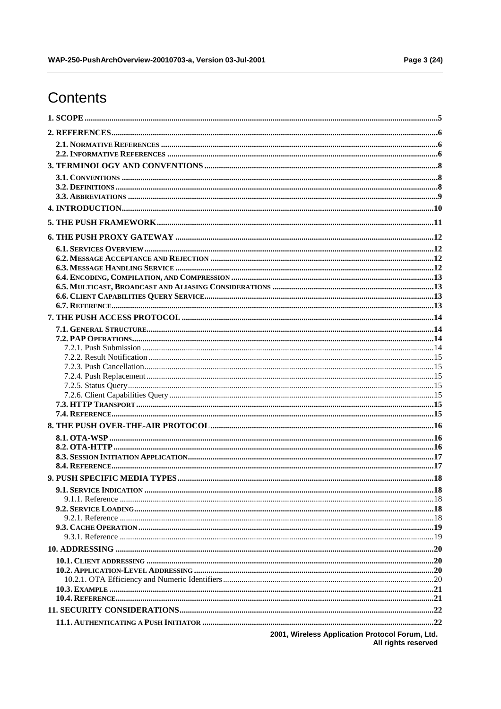# Contents

© 2001, Wireless Application Protocol Forum, Ltd.<br>All rights reserved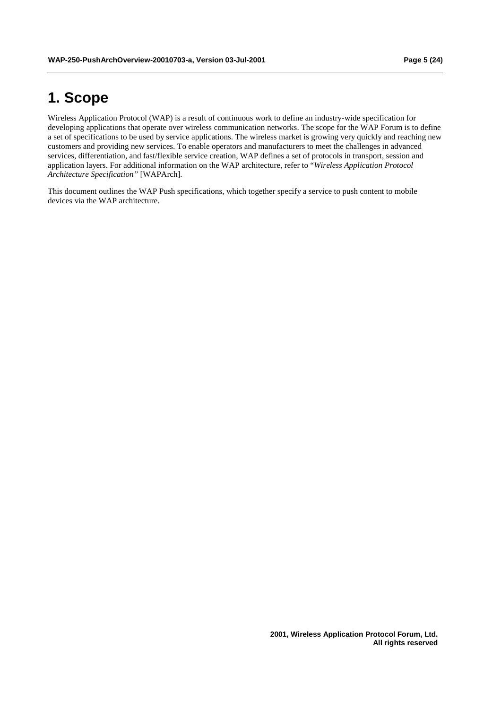# **1. Scope**

Wireless Application Protocol (WAP) is a result of continuous work to define an industry-wide specification for developing applications that operate over wireless communication networks. The scope for the WAP Forum is to define a set of specifications to be used by service applications. The wireless market is growing very quickly and reaching new customers and providing new services. To enable operators and manufacturers to meet the challenges in advanced services, differentiation, and fast/flexible service creation, WAP defines a set of protocols in transport, session and application layers. For additional information on the WAP architecture, refer to "*Wireless Application Protocol Architecture Specification"* [WAPArch].

This document outlines the WAP Push specifications, which together specify a service to push content to mobile devices via the WAP architecture.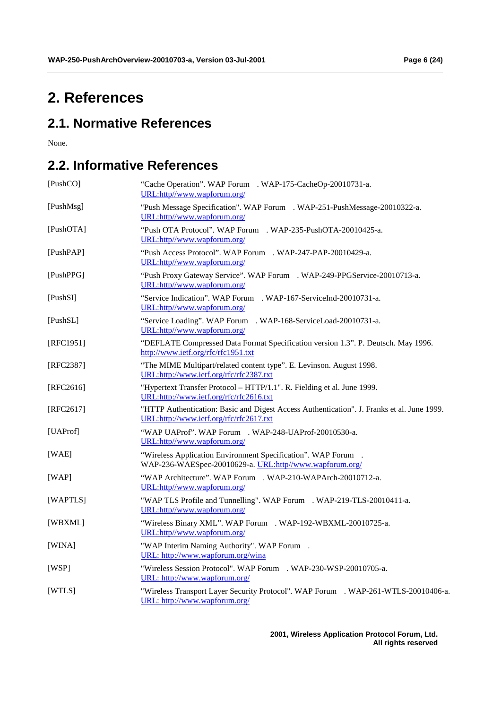# **2. References**

# **2.1. Normative References**

None.

# **2.2. Informative References**

| [PushCO]    | "Cache Operation". WAP Forum <sup>TM</sup> . WAP-175-CacheOp-20010731-a.<br>URL:http//www.wapforum.org/                               |  |  |  |
|-------------|---------------------------------------------------------------------------------------------------------------------------------------|--|--|--|
| [PushMsg]   | "Push Message Specification". WAP Forum™. WAP-251-PushMessage-20010322-a.<br>URL:http//www.wapforum.org/                              |  |  |  |
| [PushOTA]   | "Push OTA Protocol". WAP Forum™. WAP-235-PushOTA-20010425-a.<br>URL:http//www.wapforum.org/                                           |  |  |  |
| [PushPAP]   | "Push Access Protocol". WAP Forum™. WAP-247-PAP-20010429-a.<br>URL:http//www.wapforum.org/                                            |  |  |  |
| [PushPPG]   | "Push Proxy Gateway Service". WAP Forum™. WAP-249-PPGService-20010713-a.<br>URL:http//www.wapforum.org/                               |  |  |  |
| [PushSI]    | "Service Indication". WAP Forum <sup>TM</sup> . WAP-167-ServiceInd-20010731-a.<br>URL:http//www.wapforum.org/                         |  |  |  |
| [PushSL]    | "Service Loading". WAP Forum™. WAP-168-ServiceLoad-20010731-a.<br>URL:http//www.wapforum.org/                                         |  |  |  |
| [RFC1951]   | "DEFLATE Compressed Data Format Specification version 1.3". P. Deutsch. May 1996.<br>http://www.ietf.org/rfc/rfc1951.txt              |  |  |  |
| [RFC2387]   | "The MIME Multipart/related content type". E. Levinson. August 1998.<br>URL:http://www.ietf.org/rfc/rfc2387.txt                       |  |  |  |
| $[RFC2616]$ | "Hypertext Transfer Protocol - HTTP/1.1". R. Fielding et al. June 1999.<br>URL:http://www.ietf.org/rfc/rfc2616.txt                    |  |  |  |
| $[RFC2617]$ | "HTTP Authentication: Basic and Digest Access Authentication". J. Franks et al. June 1999.<br>URL:http://www.ietf.org/rfc/rfc2617.txt |  |  |  |
| [UAProf]    | "WAP UAProf". WAP Forum <sup>TM</sup> . WAP-248-UAProf-20010530-a.<br>URL:http//www.wapforum.org/                                     |  |  |  |
| [WAE]       | "Wireless Application Environment Specification". WAP Forum™.<br>WAP-236-WAESpec-20010629-a. URL:http//www.wapforum.org/              |  |  |  |
| [WAP]       | "WAP Architecture". WAP Forum <sup>TM</sup> . WAP-210-WAPArch-20010712-a.<br>URL:http//www.wapforum.org/                              |  |  |  |
| [WAPTLS]    | "WAP TLS Profile and Tunnelling". WAP Forum™. WAP-219-TLS-20010411-a.<br>URL:http//www.wapforum.org/                                  |  |  |  |
| [WBXML]     | "Wireless Binary XML". WAP Forum™. WAP-192-WBXML-20010725-a.<br>URL:http//www.wapforum.org/                                           |  |  |  |
| [WINA]      | "WAP Interim Naming Authority". WAP Forum™.<br>URL: http://www.wapforum.org/wina                                                      |  |  |  |
| [WSP]       | "Wireless Session Protocol". WAP Forum <sup>TM</sup> . WAP-230-WSP-20010705-a.<br>URL: http://www.wapforum.org/                       |  |  |  |
| [WTLS]      | "Wireless Transport Layer Security Protocol". WAP Forum™. WAP-261-WTLS-20010406-a.<br>URL: http://www.wapforum.org/                   |  |  |  |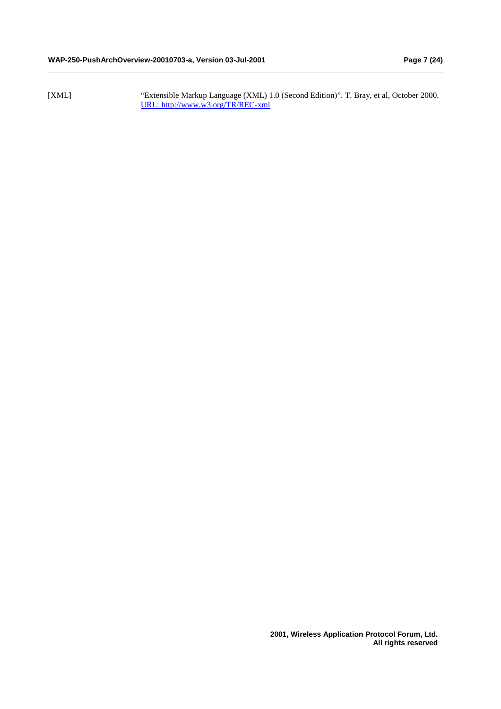[XML] "Extensible Markup Language (XML) 1.0 (Second Edition)". T. Bray, et al, October 2000. URL: http://www.w3.org/TR/REC-xml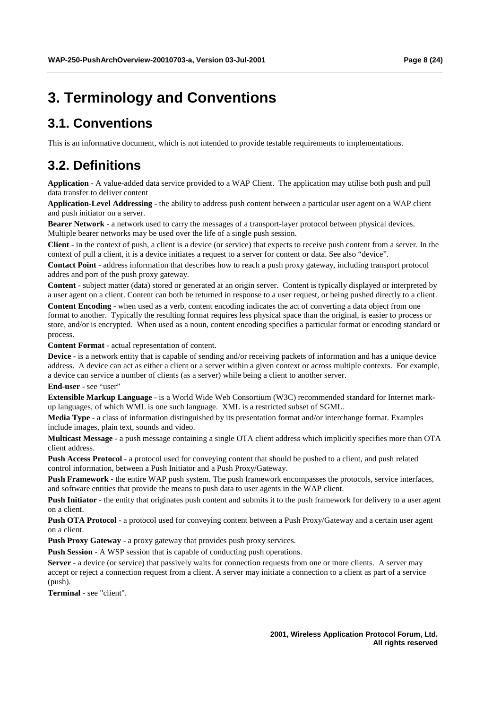# **3. Terminology and Conventions**

# **3.1. Conventions**

This is an informative document, which is not intended to provide testable requirements to implementations.

# **3.2. Definitions**

**Application** - A value-added data service provided to a WAP Client. The application may utilise both push and pull data transfer to deliver content

**Application-Level Addressing -** the ability to address push content between a particular user agent on a WAP client and push initiator on a server.

**Bearer Network** - a network used to carry the messages of a transport-layer protocol between physical devices. Multiple bearer networks may be used over the life of a single push session.

**Client** - in the context of push, a client is a device (or service) that expects to receive push content from a server. In the context of pull a client, it is a device initiates a request to a server for content or data. See also "device".

**Contact Point** - address information that describes how to reach a push proxy gateway, including transport protocol addres and port of the push proxy gateway.

**Content** - subject matter (data) stored or generated at an origin server. Content is typically displayed or interpreted by a user agent on a client. Content can both be returned in response to a user request, or being pushed directly to a client. **Content Encoding** - when used as a verb, content encoding indicates the act of converting a data object from one

format to another. Typically the resulting format requires less physical space than the original, is easier to process or store, and/or is encrypted. When used as a noun, content encoding specifies a particular format or encoding standard or process.

**Content Format** - actual representation of content.

**Device** - is a network entity that is capable of sending and/or receiving packets of information and has a unique device address. A device can act as either a client or a server within a given context or across multiple contexts. For example, a device can service a number of clients (as a server) while being a client to another server. **End-user** - see "user"

**Extensible Markup Language** - is a World Wide Web Consortium (W3C) recommended standard for Internet markup languages, of which WML is one such language. XML is a restricted subset of SGML.

**Media Type** - a class of information distinguished by its presentation format and/or interchange format. Examples include images, plain text, sounds and video.

**Multicast Message** - a push message containing a single OTA client address which implicitly specifies more than OTA client address.

**Push Access Protocol** - a protocol used for conveying content that should be pushed to a client, and push related control information, between a Push Initiator and a Push Proxy/Gateway.

**Push Framework - the entire WAP push system. The push framework encompasses the protocols, service interfaces,** and software entities that provide the means to push data to user agents in the WAP client.

**Push Initiator** - the entity that originates push content and submits it to the push framework for delivery to a user agent on a client.

**Push OTA Protocol** - a protocol used for conveying content between a Push Proxy/Gateway and a certain user agent on a client.

**Push Proxy Gateway** - a proxy gateway that provides push proxy services.

**Push Session** - A WSP session that is capable of conducting push operations.

**Server** - a device (or service) that passively waits for connection requests from one or more clients. A server may accept or reject a connection request from a client. A server may initiate a connection to a client as part of a service (push).

**Terminal** - see "client".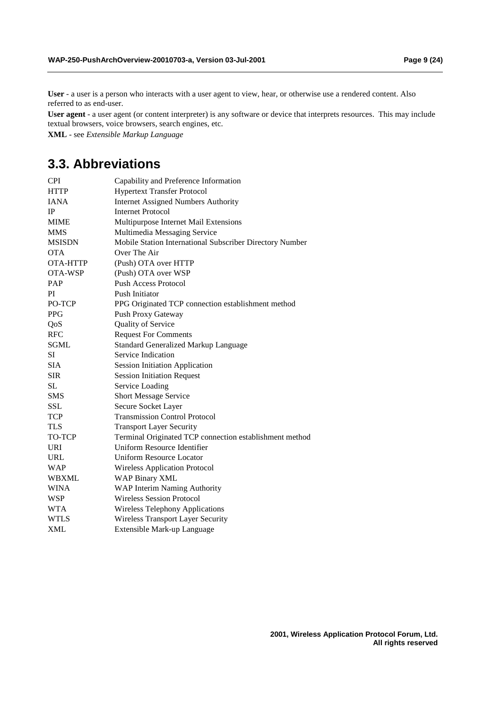**User** - a user is a person who interacts with a user agent to view, hear, or otherwise use a rendered content. Also referred to as end-user.

**User agent** - a user agent (or content interpreter) is any software or device that interprets resources. This may include textual browsers, voice browsers, search engines, etc.

**XML** - see *Extensible Markup Language*

# **3.3. Abbreviations**

| <b>CPI</b>    | Capability and Preference Information                    |  |  |  |  |
|---------------|----------------------------------------------------------|--|--|--|--|
| <b>HTTP</b>   | <b>Hypertext Transfer Protocol</b>                       |  |  |  |  |
| <b>IANA</b>   | <b>Internet Assigned Numbers Authority</b>               |  |  |  |  |
| IP            | <b>Internet Protocol</b>                                 |  |  |  |  |
| <b>MIME</b>   | Multipurpose Internet Mail Extensions                    |  |  |  |  |
| <b>MMS</b>    | Multimedia Messaging Service                             |  |  |  |  |
| <b>MSISDN</b> | Mobile Station International Subscriber Directory Number |  |  |  |  |
| <b>OTA</b>    | Over The Air                                             |  |  |  |  |
| OTA-HTTP      | (Push) OTA over HTTP                                     |  |  |  |  |
| OTA-WSP       | (Push) OTA over WSP                                      |  |  |  |  |
| PAP           | <b>Push Access Protocol</b>                              |  |  |  |  |
| PI            | Push Initiator                                           |  |  |  |  |
| PO-TCP        | PPG Originated TCP connection establishment method       |  |  |  |  |
| <b>PPG</b>    | Push Proxy Gateway                                       |  |  |  |  |
| QoS           | Quality of Service                                       |  |  |  |  |
| <b>RFC</b>    | <b>Request For Comments</b>                              |  |  |  |  |
| <b>SGML</b>   | <b>Standard Generalized Markup Language</b>              |  |  |  |  |
| SI            | Service Indication                                       |  |  |  |  |
| <b>SIA</b>    | <b>Session Initiation Application</b>                    |  |  |  |  |
| <b>SIR</b>    | <b>Session Initiation Request</b>                        |  |  |  |  |
| <b>SL</b>     | Service Loading                                          |  |  |  |  |
| <b>SMS</b>    | Short Message Service                                    |  |  |  |  |
| <b>SSL</b>    | Secure Socket Layer                                      |  |  |  |  |
| TCP           | <b>Transmission Control Protocol</b>                     |  |  |  |  |
| <b>TLS</b>    | <b>Transport Layer Security</b>                          |  |  |  |  |
| TO-TCP        | Terminal Originated TCP connection establishment method  |  |  |  |  |
| <b>URI</b>    | Uniform Resource Identifier                              |  |  |  |  |
| <b>URL</b>    | <b>Uniform Resource Locator</b>                          |  |  |  |  |
| <b>WAP</b>    | <b>Wireless Application Protocol</b>                     |  |  |  |  |
| WBXML         | <b>WAP Binary XML</b>                                    |  |  |  |  |
| <b>WINA</b>   | WAP Interim Naming Authority                             |  |  |  |  |
| WSP           | <b>Wireless Session Protocol</b>                         |  |  |  |  |
| WTA           | Wireless Telephony Applications                          |  |  |  |  |
| <b>WTLS</b>   | <b>Wireless Transport Layer Security</b>                 |  |  |  |  |
| <b>XML</b>    | Extensible Mark-up Language                              |  |  |  |  |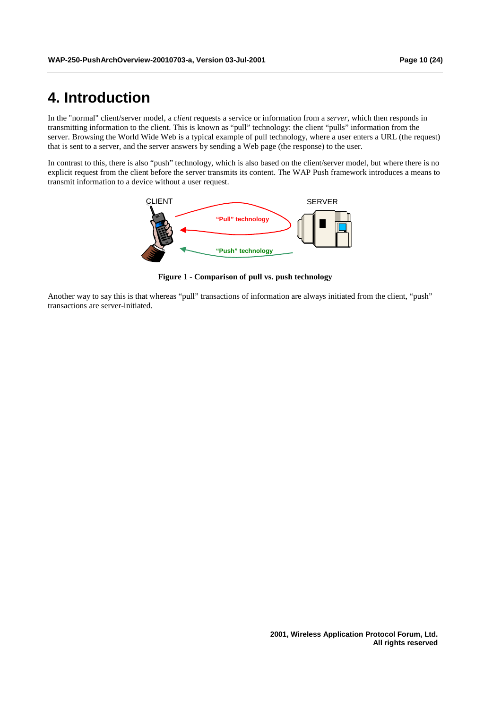# **4. Introduction**

In the "normal" client/server model, a *client* requests a service or information from a *server*, which then responds in transmitting information to the client. This is known as "pull" technology: the client "pulls" information from the server. Browsing the World Wide Web is a typical example of pull technology, where a user enters a URL (the request) that is sent to a server, and the server answers by sending a Web page (the response) to the user.

In contrast to this, there is also "push" technology, which is also based on the client/server model, but where there is no explicit request from the client before the server transmits its content. The WAP Push framework introduces a means to transmit information to a device without a user request.



**Figure 1 - Comparison of pull vs. push technology** 

Another way to say this is that whereas "pull" transactions of information are always initiated from the client, "push" transactions are server-initiated.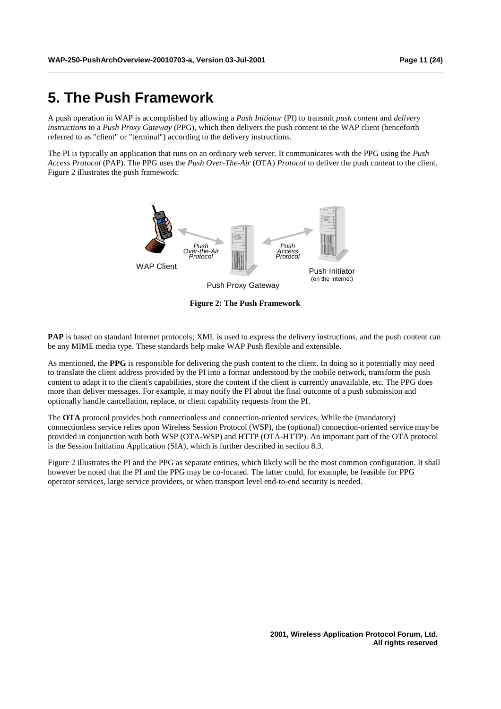# **5. The Push Framework**

A push operation in WAP is accomplished by allowing a *Push Initiator* (PI) to transmit *push content* and *delivery instructions* to a *Push Proxy Gateway* (PPG), which then delivers the push content to the WAP client (henceforth referred to as "client" or "terminal") according to the delivery instructions.

The PI is typically an application that runs on an ordinary web server. It communicates with the PPG using the *Push Access Protocol* (PAP). The PPG uses the *Push Over-The-Air* (OTA) *Protocol* to deliver the push content to the client. Figure 2 illustrates the push framework:



**Figure 2: The Push Framework** 

**PAP** is based on standard Internet protocols; XML is used to express the delivery instructions, and the push content can be any MIME media type. These standards help make WAP Push flexible and extensible.

As mentioned, the **PPG** is responsible for delivering the push content to the client. In doing so it potentially may need to translate the client address provided by the PI into a format understood by the mobile network, transform the push content to adapt it to the client's capabilities, store the content if the client is currently unavailable, etc. The PPG does more than deliver messages. For example, it may notify the PI about the final outcome of a push submission and optionally handle cancellation, replace, or client capability requests from the PI.

The **OTA** protocol provides both connectionless and connection-oriented services. While the (mandatory) connectionless service relies upon Wireless Session Protocol (WSP), the (optional) connection-oriented service may be provided in conjunction with both WSP (OTA-WSP) and HTTP (OTA-HTTP). An important part of the OTA protocol is the Session Initiation Application (SIA), which is further described in section 8.3.

Figure 2 illustrates the PI and the PPG as separate entities, which likely will be the most common configuration. It shall however be noted that the PI and the PPG may be co-located. The latter could, for example, be feasible for PPG operator services, large service providers, or when transport level end-to-end security is needed.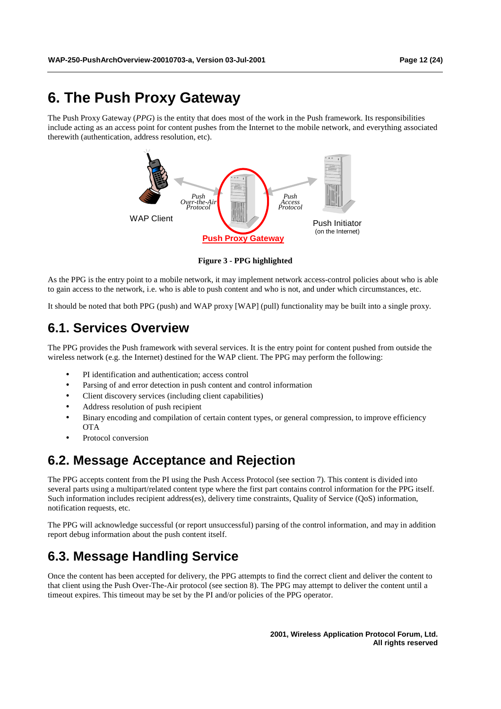# **6. The Push Proxy Gateway**

The Push Proxy Gateway (*PPG*) is the entity that does most of the work in the Push framework. Its responsibilities include acting as an access point for content pushes from the Internet to the mobile network, and everything associated therewith (authentication, address resolution, etc).



**Figure 3 - PPG highlighted** 

As the PPG is the entry point to a mobile network, it may implement network access-control policies about who is able to gain access to the network, i.e. who is able to push content and who is not, and under which circumstances, etc.

It should be noted that both PPG (push) and WAP proxy [WAP] (pull) functionality may be built into a single proxy.

## **6.1. Services Overview**

The PPG provides the Push framework with several services. It is the entry point for content pushed from outside the wireless network (e.g. the Internet) destined for the WAP client. The PPG may perform the following:

- PI identification and authentication; access control
- Parsing of and error detection in push content and control information
- Client discovery services (including client capabilities)
- Address resolution of push recipient
- Binary encoding and compilation of certain content types, or general compression, to improve efficiency OTA
- Protocol conversion

# **6.2. Message Acceptance and Rejection**

The PPG accepts content from the PI using the Push Access Protocol (see section 7). This content is divided into several parts using a multipart/related content type where the first part contains control information for the PPG itself. Such information includes recipient address(es), delivery time constraints, Quality of Service (QoS) information, notification requests, etc.

The PPG will acknowledge successful (or report unsuccessful) parsing of the control information, and may in addition report debug information about the push content itself.

# **6.3. Message Handling Service**

Once the content has been accepted for delivery, the PPG attempts to find the correct client and deliver the content to that client using the Push Over-The-Air protocol (see section 8). The PPG may attempt to deliver the content until a timeout expires. This timeout may be set by the PI and/or policies of the PPG operator.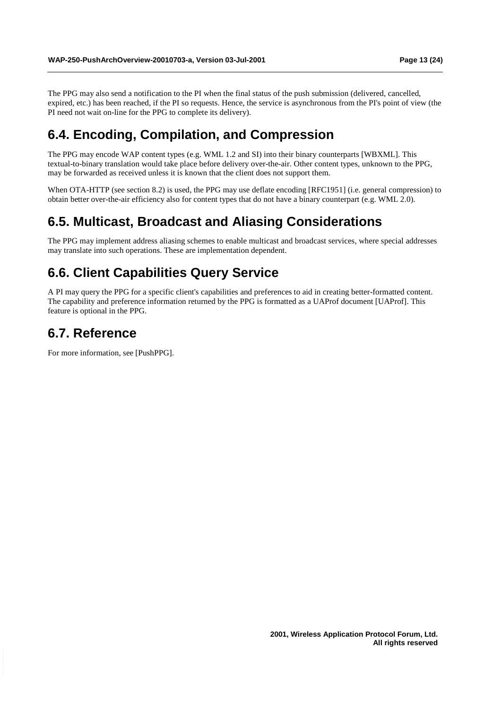The PPG may also send a notification to the PI when the final status of the push submission (delivered, cancelled, expired, etc.) has been reached, if the PI so requests. Hence, the service is asynchronous from the PI's point of view (the PI need not wait on-line for the PPG to complete its delivery).

## **6.4. Encoding, Compilation, and Compression**

The PPG may encode WAP content types (e.g. WML 1.2 and SI) into their binary counterparts [WBXML]. This textual-to-binary translation would take place before delivery over-the-air. Other content types, unknown to the PPG, may be forwarded as received unless it is known that the client does not support them.

When OTA-HTTP (see section 8.2) is used, the PPG may use deflate encoding [RFC1951] (i.e. general compression) to obtain better over-the-air efficiency also for content types that do not have a binary counterpart (e.g. WML 2.0).

### **6.5. Multicast, Broadcast and Aliasing Considerations**

The PPG may implement address aliasing schemes to enable multicast and broadcast services, where special addresses may translate into such operations. These are implementation dependent.

# **6.6. Client Capabilities Query Service**

A PI may query the PPG for a specific client's capabilities and preferences to aid in creating better-formatted content. The capability and preference information returned by the PPG is formatted as a UAProf document [UAProf]. This feature is optional in the PPG.

### **6.7. Reference**

For more information, see [PushPPG].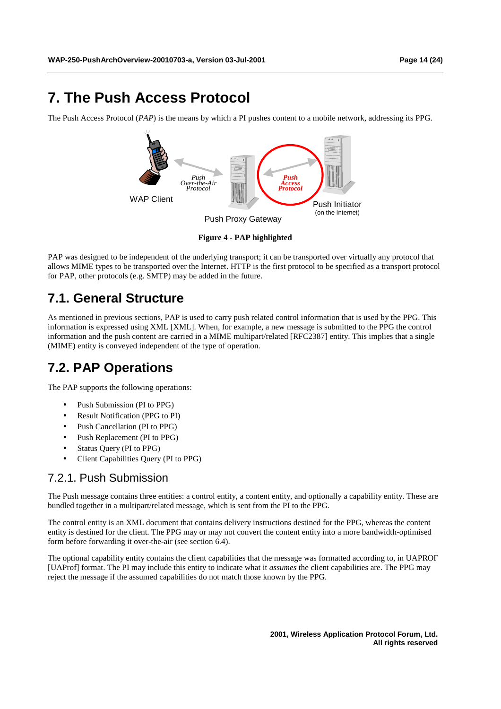# **7. The Push Access Protocol**

The Push Access Protocol (*PAP*) is the means by which a PI pushes content to a mobile network, addressing its PPG.



**Figure 4 - PAP highlighted** 

PAP was designed to be independent of the underlying transport; it can be transported over virtually any protocol that allows MIME types to be transported over the Internet. HTTP is the first protocol to be specified as a transport protocol for PAP, other protocols (e.g. SMTP) may be added in the future.

# **7.1. General Structure**

As mentioned in previous sections, PAP is used to carry push related control information that is used by the PPG. This information is expressed using XML [XML]. When, for example, a new message is submitted to the PPG the control information and the push content are carried in a MIME multipart/related [RFC2387] entity. This implies that a single (MIME) entity is conveyed independent of the type of operation.

# **7.2. PAP Operations**

The PAP supports the following operations:

- Push Submission (PI to PPG)
- Result Notification (PPG to PI)
- Push Cancellation (PI to PPG)
- Push Replacement (PI to PPG)
- Status Query (PI to PPG)
- Client Capabilities Ouery (PI to PPG)

### 7.2.1. Push Submission

The Push message contains three entities: a control entity, a content entity, and optionally a capability entity. These are bundled together in a multipart/related message, which is sent from the PI to the PPG.

The control entity is an XML document that contains delivery instructions destined for the PPG, whereas the content entity is destined for the client. The PPG may or may not convert the content entity into a more bandwidth-optimised form before forwarding it over-the-air (see section 6.4).

The optional capability entity contains the client capabilities that the message was formatted according to, in UAPROF [UAProf] format. The PI may include this entity to indicate what it *assumes* the client capabilities are. The PPG may reject the message if the assumed capabilities do not match those known by the PPG.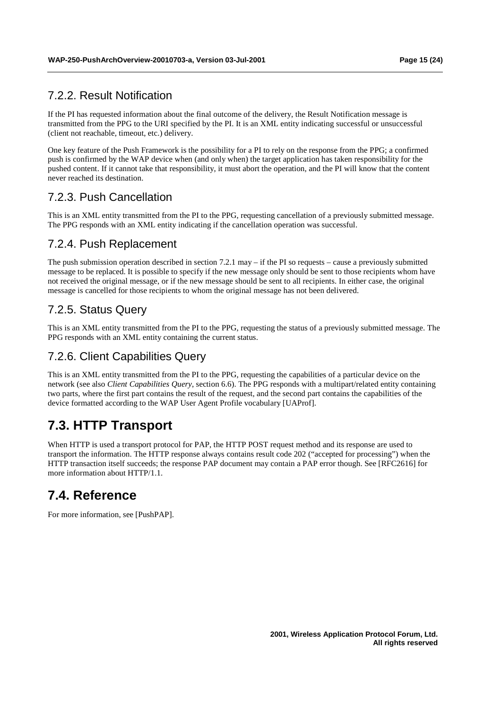#### 7.2.2. Result Notification

If the PI has requested information about the final outcome of the delivery, the Result Notification message is transmitted from the PPG to the URI specified by the PI. It is an XML entity indicating successful or unsuccessful (client not reachable, timeout, etc.) delivery.

One key feature of the Push Framework is the possibility for a PI to rely on the response from the PPG; a confirmed push is confirmed by the WAP device when (and only when) the target application has taken responsibility for the pushed content. If it cannot take that responsibility, it must abort the operation, and the PI will know that the content never reached its destination.

### 7.2.3. Push Cancellation

This is an XML entity transmitted from the PI to the PPG, requesting cancellation of a previously submitted message. The PPG responds with an XML entity indicating if the cancellation operation was successful.

#### 7.2.4. Push Replacement

The push submission operation described in section 7.2.1 may – if the PI so requests – cause a previously submitted message to be replaced. It is possible to specify if the new message only should be sent to those recipients whom have not received the original message, or if the new message should be sent to all recipients. In either case, the original message is cancelled for those recipients to whom the original message has not been delivered.

### 7.2.5. Status Query

This is an XML entity transmitted from the PI to the PPG, requesting the status of a previously submitted message. The PPG responds with an XML entity containing the current status.

### 7.2.6. Client Capabilities Query

This is an XML entity transmitted from the PI to the PPG, requesting the capabilities of a particular device on the network (see also *Client Capabilities Query*, section 6.6). The PPG responds with a multipart/related entity containing two parts, where the first part contains the result of the request, and the second part contains the capabilities of the device formatted according to the WAP User Agent Profile vocabulary [UAProf].

# **7.3. HTTP Transport**

When HTTP is used a transport protocol for PAP, the HTTP POST request method and its response are used to transport the information. The HTTP response always contains result code 202 ("accepted for processing") when the HTTP transaction itself succeeds; the response PAP document may contain a PAP error though. See [RFC2616] for more information about HTTP/1.1.

# **7.4. Reference**

For more information, see [PushPAP].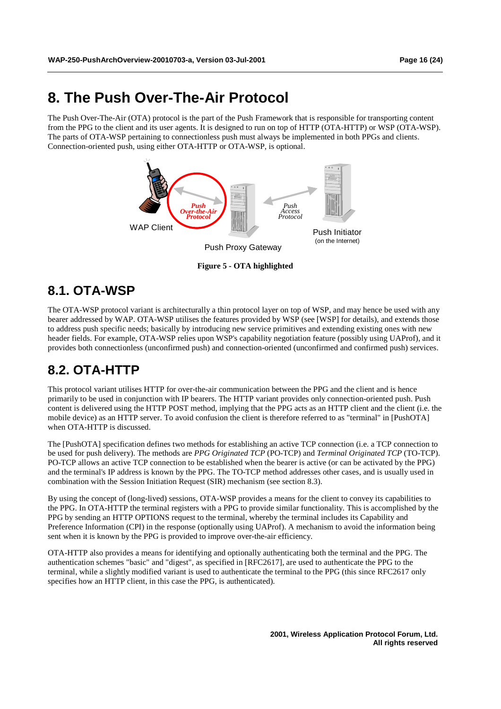# **8. The Push Over-The-Air Protocol**

The Push Over-The-Air (OTA) protocol is the part of the Push Framework that is responsible for transporting content from the PPG to the client and its user agents. It is designed to run on top of HTTP (OTA-HTTP) or WSP (OTA-WSP). The parts of OTA-WSP pertaining to connectionless push must always be implemented in both PPGs and clients. Connection-oriented push, using either OTA-HTTP or OTA-WSP, is optional.



**Figure 5 - OTA highlighted** 

# **8.1. OTA-WSP**

The OTA-WSP protocol variant is architecturally a thin protocol layer on top of WSP, and may hence be used with any bearer addressed by WAP. OTA-WSP utilises the features provided by WSP (see [WSP] for details), and extends those to address push specific needs; basically by introducing new service primitives and extending existing ones with new header fields. For example, OTA-WSP relies upon WSP's capability negotiation feature (possibly using UAProf), and it provides both connectionless (unconfirmed push) and connection-oriented (unconfirmed and confirmed push) services.

# **8.2. OTA-HTTP**

This protocol variant utilises HTTP for over-the-air communication between the PPG and the client and is hence primarily to be used in conjunction with IP bearers. The HTTP variant provides only connection-oriented push. Push content is delivered using the HTTP POST method, implying that the PPG acts as an HTTP client and the client (i.e. the mobile device) as an HTTP server. To avoid confusion the client is therefore referred to as "terminal" in [PushOTA] when OTA-HTTP is discussed.

The [PushOTA] specification defines two methods for establishing an active TCP connection (i.e. a TCP connection to be used for push delivery). The methods are *PPG Originated TCP* (PO-TCP) and *Terminal Originated TCP* (TO-TCP). PO-TCP allows an active TCP connection to be established when the bearer is active (or can be activated by the PPG) and the terminal's IP address is known by the PPG. The TO-TCP method addresses other cases, and is usually used in combination with the Session Initiation Request (SIR) mechanism (see section 8.3).

By using the concept of (long-lived) sessions, OTA-WSP provides a means for the client to convey its capabilities to the PPG. In OTA-HTTP the terminal registers with a PPG to provide similar functionality. This is accomplished by the PPG by sending an HTTP OPTIONS request to the terminal, whereby the terminal includes its Capability and Preference Information (CPI) in the response (optionally using UAProf). A mechanism to avoid the information being sent when it is known by the PPG is provided to improve over-the-air efficiency.

OTA-HTTP also provides a means for identifying and optionally authenticating both the terminal and the PPG. The authentication schemes "basic" and "digest", as specified in [RFC2617], are used to authenticate the PPG to the terminal, while a slightly modified variant is used to authenticate the terminal to the PPG (this since RFC2617 only specifies how an HTTP client, in this case the PPG, is authenticated).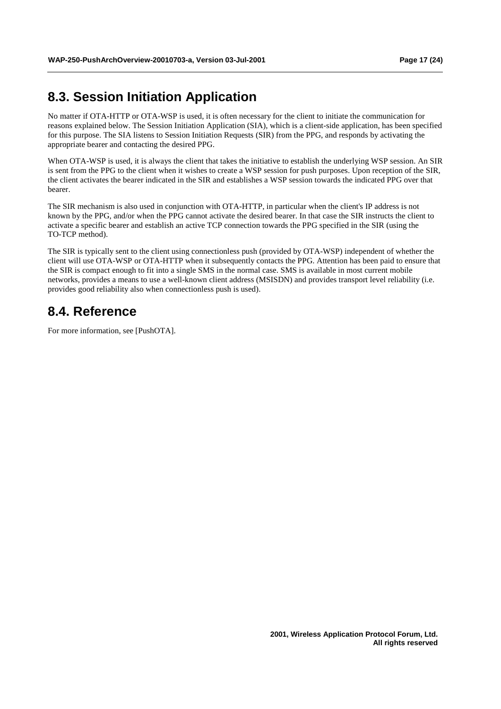# **8.3. Session Initiation Application**

No matter if OTA-HTTP or OTA-WSP is used, it is often necessary for the client to initiate the communication for reasons explained below. The Session Initiation Application (SIA), which is a client-side application, has been specified for this purpose. The SIA listens to Session Initiation Requests (SIR) from the PPG, and responds by activating the appropriate bearer and contacting the desired PPG.

When OTA-WSP is used, it is always the client that takes the initiative to establish the underlying WSP session. An SIR is sent from the PPG to the client when it wishes to create a WSP session for push purposes. Upon reception of the SIR, the client activates the bearer indicated in the SIR and establishes a WSP session towards the indicated PPG over that bearer.

The SIR mechanism is also used in conjunction with OTA-HTTP, in particular when the client's IP address is not known by the PPG, and/or when the PPG cannot activate the desired bearer. In that case the SIR instructs the client to activate a specific bearer and establish an active TCP connection towards the PPG specified in the SIR (using the TO-TCP method).

The SIR is typically sent to the client using connectionless push (provided by OTA-WSP) independent of whether the client will use OTA-WSP or OTA-HTTP when it subsequently contacts the PPG. Attention has been paid to ensure that the SIR is compact enough to fit into a single SMS in the normal case. SMS is available in most current mobile networks, provides a means to use a well-known client address (MSISDN) and provides transport level reliability (i.e. provides good reliability also when connectionless push is used).

### **8.4. Reference**

For more information, see [PushOTA].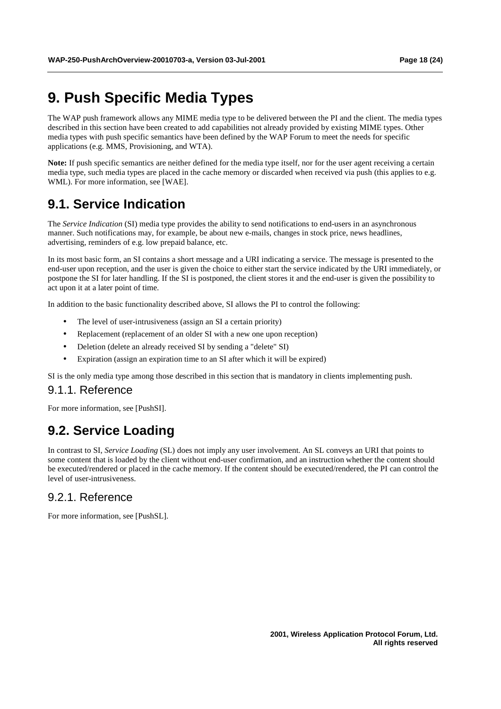# **9. Push Specific Media Types**

The WAP push framework allows any MIME media type to be delivered between the PI and the client. The media types described in this section have been created to add capabilities not already provided by existing MIME types. Other media types with push specific semantics have been defined by the WAP Forum to meet the needs for specific applications (e.g. MMS, Provisioning, and WTA).

**Note:** If push specific semantics are neither defined for the media type itself, nor for the user agent receiving a certain media type, such media types are placed in the cache memory or discarded when received via push (this applies to e.g. WML). For more information, see [WAE].

# **9.1. Service Indication**

The *Service Indication* (SI) media type provides the ability to send notifications to end-users in an asynchronous manner. Such notifications may, for example, be about new e-mails, changes in stock price, news headlines, advertising, reminders of e.g. low prepaid balance, etc.

In its most basic form, an SI contains a short message and a URI indicating a service. The message is presented to the end-user upon reception, and the user is given the choice to either start the service indicated by the URI immediately, or postpone the SI for later handling. If the SI is postponed, the client stores it and the end-user is given the possibility to act upon it at a later point of time.

In addition to the basic functionality described above, SI allows the PI to control the following:

- The level of user-intrusiveness (assign an SI a certain priority)
- Replacement (replacement of an older SI with a new one upon reception)
- Deletion (delete an already received SI by sending a "delete" SI)
- Expiration (assign an expiration time to an SI after which it will be expired)

SI is the only media type among those described in this section that is mandatory in clients implementing push.

#### 9.1.1. Reference

For more information, see [PushSI].

### **9.2. Service Loading**

In contrast to SI, *Service Loading* (SL) does not imply any user involvement. An SL conveys an URI that points to some content that is loaded by the client without end-user confirmation, and an instruction whether the content should be executed/rendered or placed in the cache memory. If the content should be executed/rendered, the PI can control the level of user-intrusiveness.

#### 9.2.1. Reference

For more information, see [PushSL].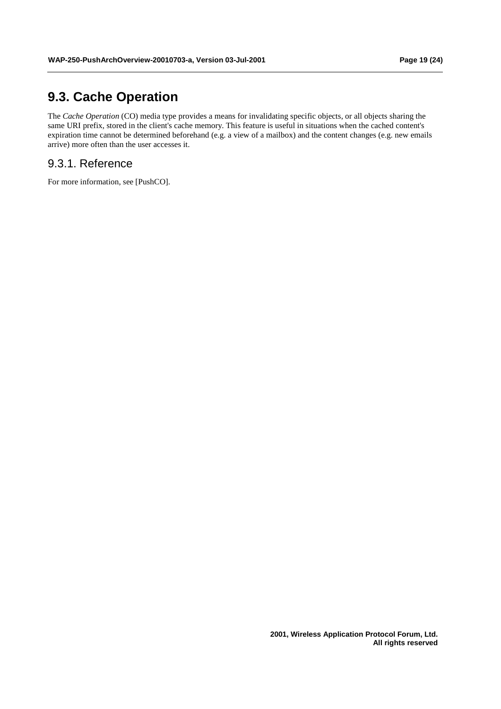# **9.3. Cache Operation**

The *Cache Operation* (CO) media type provides a means for invalidating specific objects, or all objects sharing the same URI prefix, stored in the client's cache memory. This feature is useful in situations when the cached content's expiration time cannot be determined beforehand (e.g. a view of a mailbox) and the content changes (e.g. new emails arrive) more often than the user accesses it.

#### 9.3.1. Reference

For more information, see [PushCO].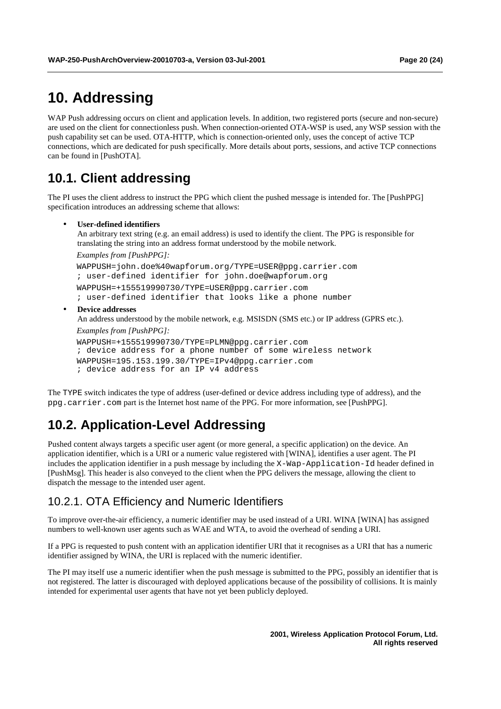# **10. Addressing**

WAP Push addressing occurs on client and application levels. In addition, two registered ports (secure and non-secure) are used on the client for connectionless push. When connection-oriented OTA-WSP is used, any WSP session with the push capability set can be used. OTA-HTTP, which is connection-oriented only, uses the concept of active TCP connections, which are dedicated for push specifically. More details about ports, sessions, and active TCP connections can be found in [PushOTA].

# **10.1. Client addressing**

The PI uses the client address to instruct the PPG which client the pushed message is intended for. The [PushPPG] specification introduces an addressing scheme that allows:

#### • **User-defined identifiers**

An arbitrary text string (e.g. an email address) is used to identify the client. The PPG is responsible for translating the string into an address format understood by the mobile network.

*Examples from [PushPPG]:*

WAPPUSH=john.doe%40wapforum.org/TYPE=USER@ppg.carrier.com ; user-defined identifier for john.doe@wapforum.org WAPPUSH=+155519990730/TYPE=USER@ppg.carrier.com ; user-defined identifier that looks like a phone number

#### • **Device addresses**

An address understood by the mobile network, e.g. MSISDN (SMS etc.) or IP address (GPRS etc.). *Examples from [PushPPG]:*

WAPPUSH=+155519990730/TYPE=PLMN@ppg.carrier.com ; device address for a phone number of some wireless network WAPPUSH=195.153.199.30/TYPE=IPv4@ppg.carrier.com ; device address for an IP v4 address

The TYPE switch indicates the type of address (user-defined or device address including type of address), and the ppg.carrier.com part is the Internet host name of the PPG. For more information, see [PushPPG].

# **10.2. Application-Level Addressing**

Pushed content always targets a specific user agent (or more general, a specific application) on the device. An application identifier, which is a URI or a numeric value registered with [WINA], identifies a user agent. The PI includes the application identifier in a push message by including the X-Wap-Application-Id header defined in [PushMsg]. This header is also conveyed to the client when the PPG delivers the message, allowing the client to dispatch the message to the intended user agent.

#### 10.2.1. OTA Efficiency and Numeric Identifiers

To improve over-the-air efficiency, a numeric identifier may be used instead of a URI. WINA [WINA] has assigned numbers to well-known user agents such as WAE and WTA, to avoid the overhead of sending a URI.

If a PPG is requested to push content with an application identifier URI that it recognises as a URI that has a numeric identifier assigned by WINA, the URI is replaced with the numeric identifier.

The PI may itself use a numeric identifier when the push message is submitted to the PPG, possibly an identifier that is not registered. The latter is discouraged with deployed applications because of the possibility of collisions. It is mainly intended for experimental user agents that have not yet been publicly deployed.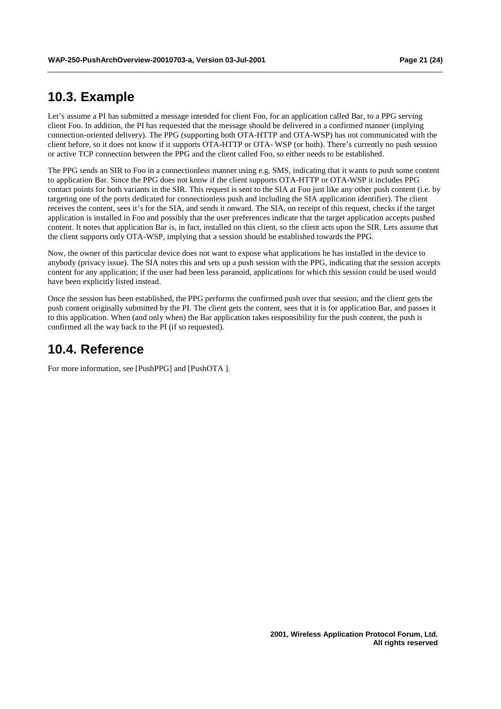### **10.3. Example**

Let's assume a PI has submitted a message intended for client Foo, for an application called Bar, to a PPG serving client Foo. In addition, the PI has requested that the message should be delivered in a confirmed manner (implying connection-oriented delivery). The PPG (supporting both OTA-HTTP and OTA-WSP) has not communicated with the client before, so it does not know if it supports OTA-HTTP or OTA- WSP (or both). There's currently no push session or active TCP connection between the PPG and the client called Foo, so either needs to be established.

The PPG sends an SIR to Foo in a connectionless manner using e.g. SMS, indicating that it wants to push some content to application Bar. Since the PPG does not know if the client supports OTA-HTTP or OTA-WSP it includes PPG contact points for both variants in the SIR. This request is sent to the SIA at Foo just like any other push content (i.e. by targeting one of the ports dedicated for connectionless push and including the SIA application identifier). The client receives the content, sees it's for the SIA, and sends it onward. The SIA, on receipt of this request, checks if the target application is installed in Foo and possibly that the user preferences indicate that the target application accepts pushed content. It notes that application Bar is, in fact, installed on this client, so the client acts upon the SIR. Lets assume that the client supports only OTA-WSP, implying that a session should be established towards the PPG.

Now, the owner of this particular device does not want to expose what applications he has installed in the device to anybody (privacy issue). The SIA notes this and sets up a push session with the PPG, indicating that the session accepts content for any application; if the user had been less paranoid, applications for which this session could be used would have been explicitly listed instead.

Once the session has been established, the PPG performs the confirmed push over that session, and the client gets the push content originally submitted by the PI. The client gets the content, sees that it is for application Bar, and passes it to this application. When (and only when) the Bar application takes responsibility for the push content, the push is confirmed all the way back to the PI (if so requested).

### **10.4. Reference**

For more information, see [PushPPG] and [PushOTA ].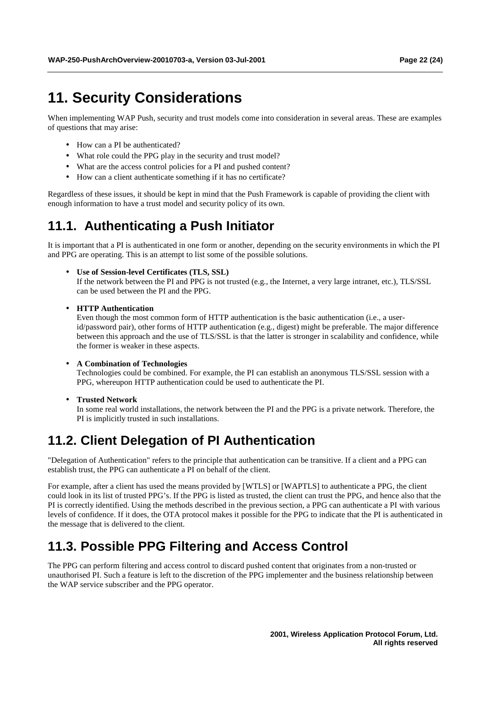# **11. Security Considerations**

When implementing WAP Push, security and trust models come into consideration in several areas. These are examples of questions that may arise:

- How can a PI be authenticated?
- What role could the PPG play in the security and trust model?
- What are the access control policies for a PI and pushed content?
- How can a client authenticate something if it has no certificate?

Regardless of these issues, it should be kept in mind that the Push Framework is capable of providing the client with enough information to have a trust model and security policy of its own.

# **11.1. Authenticating a Push Initiator**

It is important that a PI is authenticated in one form or another, depending on the security environments in which the PI and PPG are operating. This is an attempt to list some of the possible solutions.

• **Use of Session-level Certificates (TLS, SSL)**

If the network between the PI and PPG is not trusted (e.g., the Internet, a very large intranet, etc.), TLS/SSL can be used between the PI and the PPG.

• **HTTP Authentication**

Even though the most common form of HTTP authentication is the basic authentication (i.e., a userid/password pair), other forms of HTTP authentication (e.g., digest) might be preferable. The major difference between this approach and the use of TLS/SSL is that the latter is stronger in scalability and confidence, while the former is weaker in these aspects.

#### • **A Combination of Technologies**

Technologies could be combined. For example, the PI can establish an anonymous TLS/SSL session with a PPG, whereupon HTTP authentication could be used to authenticate the PI.

• **Trusted Network**

In some real world installations, the network between the PI and the PPG is a private network. Therefore, the PI is implicitly trusted in such installations.

# **11.2. Client Delegation of PI Authentication**

"Delegation of Authentication" refers to the principle that authentication can be transitive. If a client and a PPG can establish trust, the PPG can authenticate a PI on behalf of the client.

For example, after a client has used the means provided by [WTLS] or [WAPTLS] to authenticate a PPG, the client could look in its list of trusted PPG's. If the PPG is listed as trusted, the client can trust the PPG, and hence also that the PI is correctly identified. Using the methods described in the previous section, a PPG can authenticate a PI with various levels of confidence. If it does, the OTA protocol makes it possible for the PPG to indicate that the PI is authenticated in the message that is delivered to the client.

# **11.3. Possible PPG Filtering and Access Control**

The PPG can perform filtering and access control to discard pushed content that originates from a non-trusted or unauthorised PI. Such a feature is left to the discretion of the PPG implementer and the business relationship between the WAP service subscriber and the PPG operator.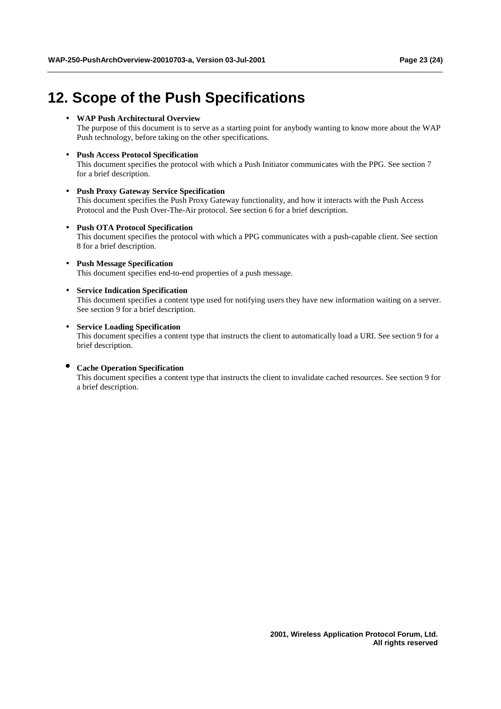# **12. Scope of the Push Specifications**

#### • **WAP Push Architectural Overview**

The purpose of this document is to serve as a starting point for anybody wanting to know more about the WAP Push technology, before taking on the other specifications.

#### • **Push Access Protocol Specification**

This document specifies the protocol with which a Push Initiator communicates with the PPG. See section 7 for a brief description.

#### • **Push Proxy Gateway Service Specification**

This document specifies the Push Proxy Gateway functionality, and how it interacts with the Push Access Protocol and the Push Over-The-Air protocol. See section 6 for a brief description.

#### • **Push OTA Protocol Specification**

This document specifies the protocol with which a PPG communicates with a push-capable client. See section 8 for a brief description.

#### • **Push Message Specification** This document specifies end-to-end properties of a push message.

• **Service Indication Specification** This document specifies a content type used for notifying users they have new information waiting on a server. See section 9 for a brief description.

#### • **Service Loading Specification**

This document specifies a content type that instructs the client to automatically load a URI. See section 9 for a brief description.

#### • **Cache Operation Specification**

This document specifies a content type that instructs the client to invalidate cached resources. See section 9 for a brief description.